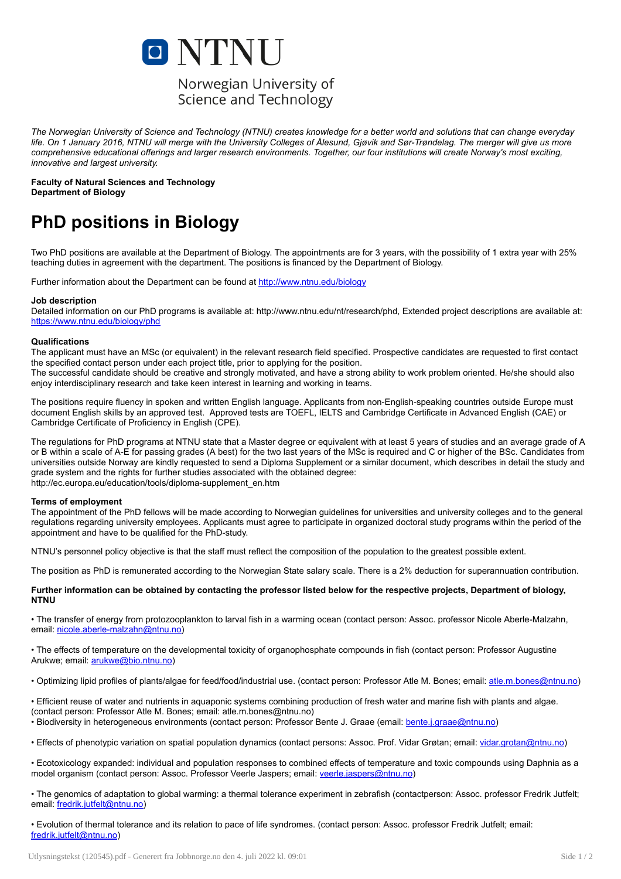

## Norwegian University of Science and Technology

The Norwegian University of Science and Technology (NTNU) creates knowledge for a better world and solutions that can change everyday life. On 1 January 2016, NTNU will merge with the University Colleges of Ålesund, Gjøvik and Sør-Trøndelag. The merger will give us more comprehensive educational offerings and larger research environments. Together, our four institutions will create Norway's most exciting. *innovative and largest university.*

Faculty of Natural Sciences and Technology Department of Biology

# PhD positions in Biology

Two PhD positions are available at the Department of Biology. The appointments are for 3 years, with the possibility of 1 extra year with 25% teaching duties in agreement with the department. The positions is financed by the Department of Biology.

Further information about the Department can be found at <http://www.ntnu.edu/biology>

#### Job description

Detailed information on our PhD programs is available at: http://www.ntnu.edu/nt/research/phd, Extended project descriptions are available at: <https://www.ntnu.edu/biology/phd>

#### Qualifications

The applicant must have an MSc (or equivalent) in the relevant research field specified. Prospective candidates are requested to first contact the specified contact person under each project title, prior to applying for the position.

The successful candidate should be creative and strongly motivated, and have a strong ability to work problem oriented. He/she should also enjoy interdisciplinary research and take keen interest in learning and working in teams.

The positions require fluency in spoken and written English language. Applicants from non-English-speaking countries outside Europe must document English skills by an approved test. Approved tests are TOEFL, IELTS and Cambridge Certificate in Advanced English (CAE) or Cambridge Certificate of Proficiency in English (CPE).

The regulations for PhD programs at NTNU state that a Master degree or equivalent with at least 5 years of studies and an average grade of A or B within a scale of A-E for passing grades (A best) for the two last years of the MSc is required and C or higher of the BSc. Candidates from universities outside Norway are kindly requested to send a Diploma Supplement or a similar document, which describes in detail the study and grade system and the rights for further studies associated with the obtained degree: http://ec.europa.eu/education/tools/diploma-supplement\_en.htm

#### Terms of employment

The appointment of the PhD fellows will be made according to Norwegian guidelines for universities and university colleges and to the general regulations regarding university employees. Applicants must agree to participate in organized doctoral study programs within the period of the appointment and have to be qualified for the PhD-study.

NTNU's personnel policy objective is that the staff must reflect the composition of the population to the greatest possible extent.

The position as PhD is remunerated according to the Norwegian State salary scale. There is a 2% deduction for superannuation contribution.

#### Further information can be obtained by contacting the professor listed below for the respective projects, Department of biology, NTNU

• The transfer of energy from protozooplankton to larval fish in a warming ocean (contact person: Assoc. professor Nicole Aberle-Malzahn, email: [nicole.aberle-malzahn@ntnu.no\)](mailto:nicole.aberle-malzahn@ntnu.no)

• The effects of temperature on the developmental toxicity of organophosphate compounds in fish (contact person: Professor Augustine Arukwe; email: [arukwe@bio.ntnu.no\)](mailto:arukwe@bio.ntnu.no)

• Optimizing lipid profiles of plants/algae for feed/food/industrial use. (contact person: Professor Atle M. Bones; email: [atle.m.bones@ntnu.no](mailto:atle.m.bones@ntnu.no))

• Efficient reuse of water and nutrients in aquaponic systems combining production of fresh water and marine fish with plants and algae.

(contact person: Professor Atle M. Bones; email: atle.m.bones@ntnu.no)

• Biodiversity in heterogeneous environments (contact person: Professor Bente J. Graae (email: [bente.j.graae@ntnu.no\)](mailto:bente.j.graae@ntnu.no)

• Effects of phenotypic variation on spatial population dynamics (contact persons: Assoc. Prof. Vidar Grøtan; email: [vidar.grotan@ntnu.no\)](mailto:vidar.grotan@ntnu.no)

• Ecotoxicology expanded: individual and population responses to combined effects of temperature and toxic compounds using Daphnia as a model organism (contact person: Assoc. Professor Veerle Jaspers; email: [veerle.jaspers@ntnu.no](mailto:veerle.jaspers@ntnu.no))

• The genomics of adaptation to global warming: a thermal tolerance experiment in zebrafish (contactperson: Assoc. professor Fredrik Jutfelt; email: [fredrik.jutfelt@ntnu.no](mailto:fredrik.jutfelt@ntnu.no))

• Evolution of thermal tolerance and its relation to pace of life syndromes. (contact person: Assoc. professor Fredrik Jutfelt; email: [fredrik.jutfelt@ntnu.no\)](mailto:fredrik.jutfelt@ntnu.no)